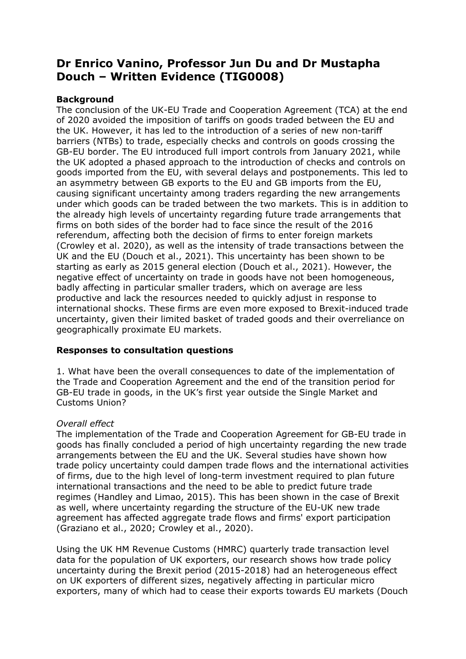# **Dr Enrico Vanino, Professor Jun Du and Dr Mustapha Douch – Written Evidence (TIG0008)**

## **Background**

The conclusion of the UK-EU Trade and Cooperation Agreement (TCA) at the end of 2020 avoided the imposition of tariffs on goods traded between the EU and the UK. However, it has led to the introduction of a series of new non-tariff barriers (NTBs) to trade, especially checks and controls on goods crossing the GB-EU border. The EU introduced full import controls from January 2021, while the UK adopted a phased approach to the introduction of checks and controls on goods imported from the EU, with several delays and postponements. This led to an asymmetry between GB exports to the EU and GB imports from the EU, causing significant uncertainty among traders regarding the new arrangements under which goods can be traded between the two markets. This is in addition to the already high levels of uncertainty regarding future trade arrangements that firms on both sides of the border had to face since the result of the 2016 referendum, affecting both the decision of firms to enter foreign markets (Crowley et al. 2020), as well as the intensity of trade transactions between the UK and the EU (Douch et al., 2021). This uncertainty has been shown to be starting as early as 2015 general election (Douch et al., 2021). However, the negative effect of uncertainty on trade in goods have not been homogeneous, badly affecting in particular smaller traders, which on average are less productive and lack the resources needed to quickly adjust in response to international shocks. These firms are even more exposed to Brexit-induced trade uncertainty, given their limited basket of traded goods and their overreliance on geographically proximate EU markets.

## **Responses to consultation questions**

1. What have been the overall consequences to date of the implementation of the Trade and Cooperation Agreement and the end of the transition period for GB-EU trade in goods, in the UK's first year outside the Single Market and Customs Union?

### *Overall effect*

The implementation of the Trade and Cooperation Agreement for GB-EU trade in goods has finally concluded a period of high uncertainty regarding the new trade arrangements between the EU and the UK. Several studies have shown how trade policy uncertainty could dampen trade flows and the international activities of firms, due to the high level of long-term investment required to plan future international transactions and the need to be able to predict future trade regimes (Handley and Limao, 2015). This has been shown in the case of Brexit as well, where uncertainty regarding the structure of the EU-UK new trade agreement has affected aggregate trade flows and firms' export participation (Graziano et al., 2020; Crowley et al., 2020).

Using the UK HM Revenue Customs (HMRC) quarterly trade transaction level data for the population of UK exporters, our research shows how trade policy uncertainty during the Brexit period (2015-2018) had an heterogeneous effect on UK exporters of different sizes, negatively affecting in particular micro exporters, many of which had to cease their exports towards EU markets (Douch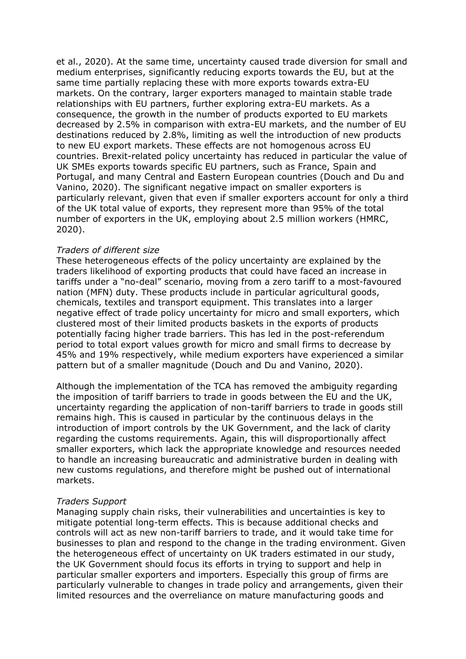et al., 2020). At the same time, uncertainty caused trade diversion for small and medium enterprises, significantly reducing exports towards the EU, but at the same time partially replacing these with more exports towards extra-EU markets. On the contrary, larger exporters managed to maintain stable trade relationships with EU partners, further exploring extra-EU markets. As a consequence, the growth in the number of products exported to EU markets decreased by 2.5% in comparison with extra-EU markets, and the number of EU destinations reduced by 2.8%, limiting as well the introduction of new products to new EU export markets. These effects are not homogenous across EU countries. Brexit-related policy uncertainty has reduced in particular the value of UK SMEs exports towards specific EU partners, such as France, Spain and Portugal, and many Central and Eastern European countries (Douch and Du and Vanino, 2020). The significant negative impact on smaller exporters is particularly relevant, given that even if smaller exporters account for only a third of the UK total value of exports, they represent more than 95% of the total number of exporters in the UK, employing about 2.5 million workers (HMRC, 2020).

#### *Traders of different size*

These heterogeneous effects of the policy uncertainty are explained by the traders likelihood of exporting products that could have faced an increase in tariffs under a "no-deal" scenario, moving from a zero tariff to a most-favoured nation (MFN) duty. These products include in particular agricultural goods, chemicals, textiles and transport equipment. This translates into a larger negative effect of trade policy uncertainty for micro and small exporters, which clustered most of their limited products baskets in the exports of products potentially facing higher trade barriers. This has led in the post-referendum period to total export values growth for micro and small firms to decrease by 45% and 19% respectively, while medium exporters have experienced a similar pattern but of a smaller magnitude (Douch and Du and Vanino, 2020).

Although the implementation of the TCA has removed the ambiguity regarding the imposition of tariff barriers to trade in goods between the EU and the UK, uncertainty regarding the application of non-tariff barriers to trade in goods still remains high. This is caused in particular by the continuous delays in the introduction of import controls by the UK Government, and the lack of clarity regarding the customs requirements. Again, this will disproportionally affect smaller exporters, which lack the appropriate knowledge and resources needed to handle an increasing bureaucratic and administrative burden in dealing with new customs regulations, and therefore might be pushed out of international markets.

### *Traders Support*

Managing supply chain risks, their vulnerabilities and uncertainties is key to mitigate potential long-term effects. This is because additional checks and controls will act as new non-tariff barriers to trade, and it would take time for businesses to plan and respond to the change in the trading environment. Given the heterogeneous effect of uncertainty on UK traders estimated in our study, the UK Government should focus its efforts in trying to support and help in particular smaller exporters and importers. Especially this group of firms are particularly vulnerable to changes in trade policy and arrangements, given their limited resources and the overreliance on mature manufacturing goods and